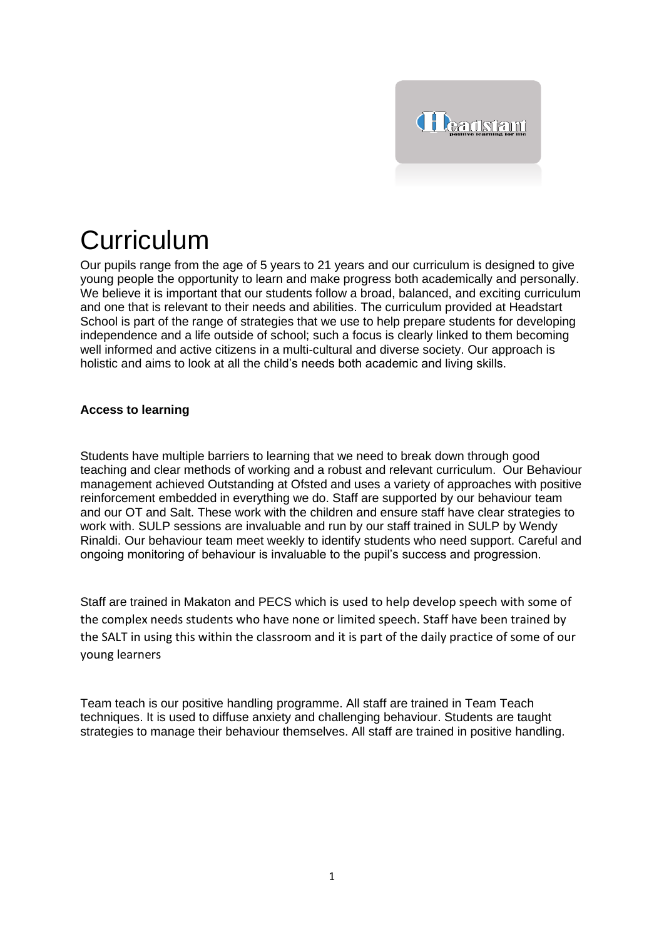

# **Curriculum**

Our pupils range from the age of 5 years to 21 years and our curriculum is designed to give young people the opportunity to learn and make progress both academically and personally. We believe it is important that our students follow a broad, balanced, and exciting curriculum and one that is relevant to their needs and abilities. The curriculum provided at Headstart School is part of the range of strategies that we use to help prepare students for developing independence and a life outside of school; such a focus is clearly linked to them becoming well informed and active citizens in a multi-cultural and diverse society. Our approach is holistic and aims to look at all the child's needs both academic and living skills.

## **Access to learning**

Students have multiple barriers to learning that we need to break down through good teaching and clear methods of working and a robust and relevant curriculum. Our Behaviour management achieved Outstanding at Ofsted and uses a variety of approaches with positive reinforcement embedded in everything we do. Staff are supported by our behaviour team and our OT and Salt. These work with the children and ensure staff have clear strategies to work with. SULP sessions are invaluable and run by our staff trained in SULP by Wendy Rinaldi. Our behaviour team meet weekly to identify students who need support. Careful and ongoing monitoring of behaviour is invaluable to the pupil's success and progression.

Staff are trained in Makaton and PECS which is used to help develop speech with some of the complex needs students who have none or limited speech. Staff have been trained by the SALT in using this within the classroom and it is part of the daily practice of some of our young learners

Team teach is our positive handling programme. All staff are trained in Team Teach techniques. It is used to diffuse anxiety and challenging behaviour. Students are taught strategies to manage their behaviour themselves. All staff are trained in positive handling.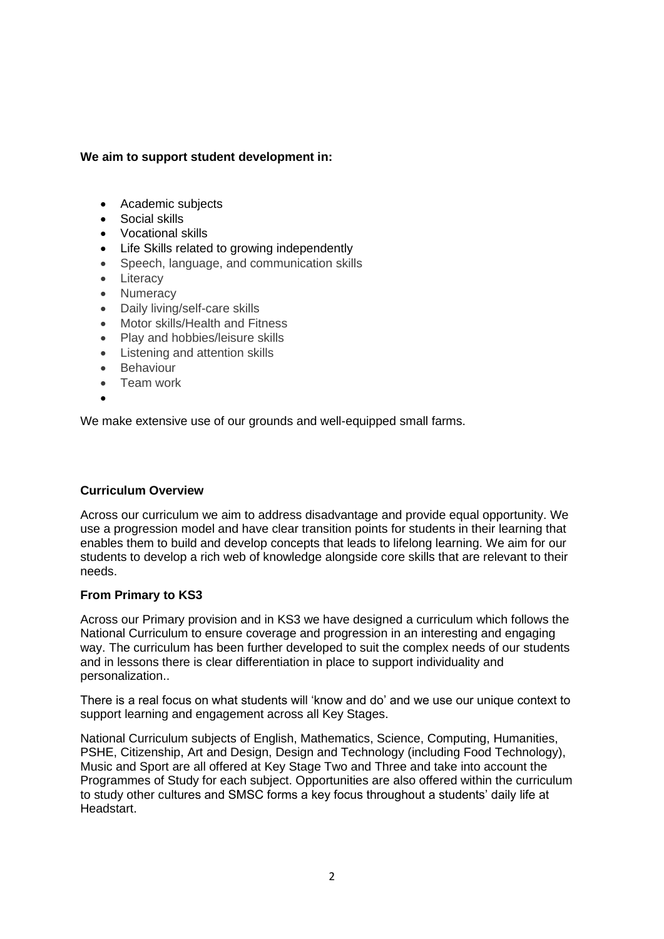## **We aim to support student development in:**

- Academic subjects
- Social skills
- Vocational skills
- Life Skills related to growing independently
- Speech, language, and communication skills
- Literacy
- Numeracy
- Daily living/self-care skills
- Motor skills/Health and Fitness
- Play and hobbies/leisure skills
- Listening and attention skills
- Behaviour
- Team work
- •

We make extensive use of our grounds and well-equipped small farms.

## **Curriculum Overview**

Across our curriculum we aim to address disadvantage and provide equal opportunity. We use a progression model and have clear transition points for students in their learning that enables them to build and develop concepts that leads to lifelong learning. We aim for our students to develop a rich web of knowledge alongside core skills that are relevant to their needs.

#### **From Primary to KS3**

Across our Primary provision and in KS3 we have designed a curriculum which follows the National Curriculum to ensure coverage and progression in an interesting and engaging way. The curriculum has been further developed to suit the complex needs of our students and in lessons there is clear differentiation in place to support individuality and personalization..

There is a real focus on what students will 'know and do' and we use our unique context to support learning and engagement across all Key Stages.

National Curriculum subjects of English, Mathematics, Science, Computing, Humanities, PSHE, Citizenship, Art and Design, Design and Technology (including Food Technology), Music and Sport are all offered at Key Stage Two and Three and take into account the Programmes of Study for each subject. Opportunities are also offered within the curriculum to study other cultures and SMSC forms a key focus throughout a students' daily life at Headstart.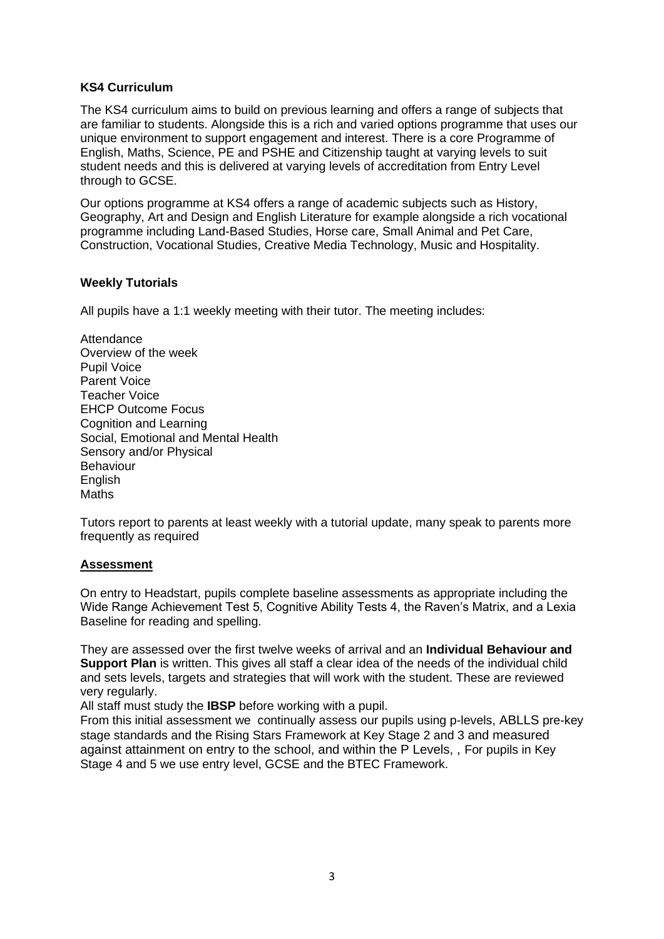## **KS4 Curriculum**

The KS4 curriculum aims to build on previous learning and offers a range of subjects that are familiar to students. Alongside this is a rich and varied options programme that uses our unique environment to support engagement and interest. There is a core Programme of English, Maths, Science, PE and PSHE and Citizenship taught at varying levels to suit student needs and this is delivered at varying levels of accreditation from Entry Level through to GCSE.

Our options programme at KS4 offers a range of academic subjects such as History, Geography, Art and Design and English Literature for example alongside a rich vocational programme including Land-Based Studies, Horse care, Small Animal and Pet Care, Construction, Vocational Studies, Creative Media Technology, Music and Hospitality.

## **Weekly Tutorials**

All pupils have a 1:1 weekly meeting with their tutor. The meeting includes:

**Attendance** Overview of the week Pupil Voice Parent Voice Teacher Voice EHCP Outcome Focus Cognition and Learning Social, Emotional and Mental Health Sensory and/or Physical Behaviour English **Maths** 

Tutors report to parents at least weekly with a tutorial update, many speak to parents more frequently as required

## **Assessment**

On entry to Headstart, pupils complete baseline assessments as appropriate including the Wide Range Achievement Test 5, Cognitive Ability Tests 4, the Raven's Matrix, and a Lexia Baseline for reading and spelling.

They are assessed over the first twelve weeks of arrival and an **Individual Behaviour and Support Plan** is written. This gives all staff a clear idea of the needs of the individual child and sets levels, targets and strategies that will work with the student. These are reviewed very regularly.

All staff must study the **IBSP** before working with a pupil.

From this initial assessment we continually assess our pupils using p-levels, ABLLS pre-key stage standards and the Rising Stars Framework at Key Stage 2 and 3 and measured against attainment on entry to the school, and within the P Levels, , For pupils in Key Stage 4 and 5 we use entry level, GCSE and the BTEC Framework.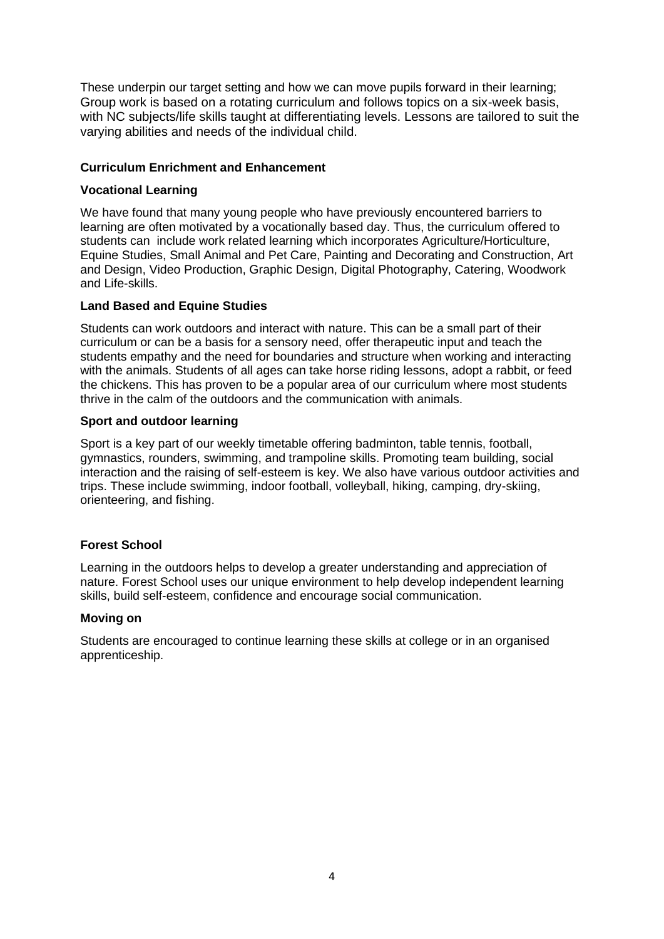These underpin our target setting and how we can move pupils forward in their learning; Group work is based on a rotating curriculum and follows topics on a six-week basis, with NC subjects/life skills taught at differentiating levels. Lessons are tailored to suit the varying abilities and needs of the individual child.

#### **Curriculum Enrichment and Enhancement**

#### **Vocational Learning**

We have found that many young people who have previously encountered barriers to learning are often motivated by a vocationally based day. Thus, the curriculum offered to students can include work related learning which incorporates Agriculture/Horticulture, Equine Studies, Small Animal and Pet Care, Painting and Decorating and Construction, Art and Design, Video Production, Graphic Design, Digital Photography, Catering, Woodwork and Life-skills.

## **Land Based and Equine Studies**

Students can work outdoors and interact with nature. This can be a small part of their curriculum or can be a basis for a sensory need, offer therapeutic input and teach the students empathy and the need for boundaries and structure when working and interacting with the animals. Students of all ages can take horse riding lessons, adopt a rabbit, or feed the chickens. This has proven to be a popular area of our curriculum where most students thrive in the calm of the outdoors and the communication with animals.

#### **Sport and outdoor learning**

Sport is a key part of our weekly timetable offering badminton, table tennis, football, gymnastics, rounders, swimming, and trampoline skills. Promoting team building, social interaction and the raising of self-esteem is key. We also have various outdoor activities and trips. These include swimming, indoor football, volleyball, hiking, camping, dry-skiing, orienteering, and fishing.

## **Forest School**

Learning in the outdoors helps to develop a greater understanding and appreciation of nature. Forest School uses our unique environment to help develop independent learning skills, build self-esteem, confidence and encourage social communication.

#### **Moving on**

Students are encouraged to continue learning these skills at college or in an organised apprenticeship.